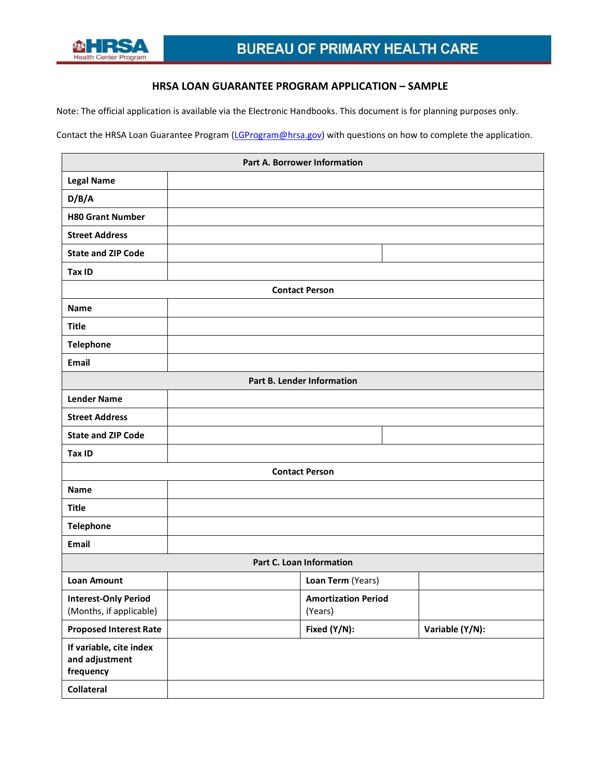

# **HRSA LOAN GUARANTEE PROGRAM APPLICATION – SAMPLE**

Note: The official application is available via the Electronic Handbooks. This document is for planning purposes only.

Contact the HRSA Loan Guarantee Program [\(LGProgram@hrsa.gov\)](mailto:LGProgram@hrsa.gov) with questions on how to complete the application.

| Part A. Borrower Information                           |  |                                       |                 |  |  |  |
|--------------------------------------------------------|--|---------------------------------------|-----------------|--|--|--|
| <b>Legal Name</b>                                      |  |                                       |                 |  |  |  |
| D/B/A                                                  |  |                                       |                 |  |  |  |
| <b>H80 Grant Number</b>                                |  |                                       |                 |  |  |  |
| <b>Street Address</b>                                  |  |                                       |                 |  |  |  |
| <b>State and ZIP Code</b>                              |  |                                       |                 |  |  |  |
| Tax ID                                                 |  |                                       |                 |  |  |  |
|                                                        |  | <b>Contact Person</b>                 |                 |  |  |  |
| <b>Name</b>                                            |  |                                       |                 |  |  |  |
| Title                                                  |  |                                       |                 |  |  |  |
| <b>Telephone</b>                                       |  |                                       |                 |  |  |  |
| Email                                                  |  |                                       |                 |  |  |  |
| Part B. Lender Information                             |  |                                       |                 |  |  |  |
| <b>Lender Name</b>                                     |  |                                       |                 |  |  |  |
| <b>Street Address</b>                                  |  |                                       |                 |  |  |  |
| <b>State and ZIP Code</b>                              |  |                                       |                 |  |  |  |
| Tax ID                                                 |  |                                       |                 |  |  |  |
|                                                        |  | <b>Contact Person</b>                 |                 |  |  |  |
| <b>Name</b>                                            |  |                                       |                 |  |  |  |
| <b>Title</b>                                           |  |                                       |                 |  |  |  |
| <b>Telephone</b>                                       |  |                                       |                 |  |  |  |
| Email                                                  |  |                                       |                 |  |  |  |
| Part C. Loan Information                               |  |                                       |                 |  |  |  |
| <b>Loan Amount</b>                                     |  | Loan Term (Years)                     |                 |  |  |  |
| <b>Interest-Only Period</b><br>(Months, if applicable) |  | <b>Amortization Period</b><br>(Years) |                 |  |  |  |
| <b>Proposed Interest Rate</b>                          |  | Fixed (Y/N):                          | Variable (Y/N): |  |  |  |
| If variable, cite index<br>and adjustment<br>frequency |  |                                       |                 |  |  |  |
| Collateral                                             |  |                                       |                 |  |  |  |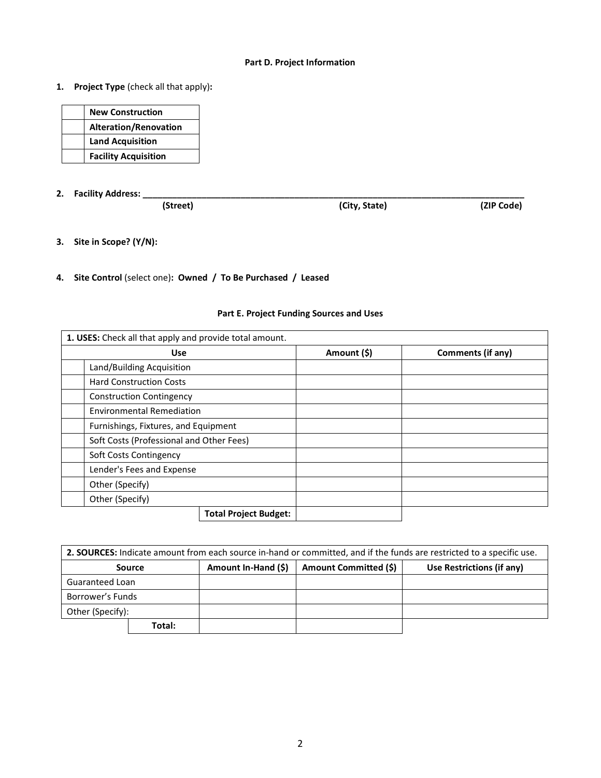## **Part D. Project Information**

**1. Project Type** (check all that apply)**:** 

| <b>New Construction</b>      |
|------------------------------|
| <b>Alteration/Renovation</b> |
| <b>Land Acquisition</b>      |
| <b>Facility Acquisition</b>  |

**2. Facility Address: \_\_\_\_\_\_\_\_\_\_\_\_\_\_\_\_\_\_\_\_\_\_\_\_\_\_\_\_\_\_\_\_\_\_\_\_\_\_\_\_\_\_\_\_\_\_\_\_\_\_\_\_\_\_\_\_\_\_\_\_\_\_\_\_\_\_\_\_\_\_\_\_\_\_\_\_\_\_**

**(City, State)** 

- **3. Site in Scope? (Y/N):**
- **4. Site Control** (select one)**: Owned / To Be Purchased / Leased**

| 1. USES: Check all that apply and provide total amount. |                              |             |                   |  |  |
|---------------------------------------------------------|------------------------------|-------------|-------------------|--|--|
| <b>Use</b>                                              |                              | Amount (\$) | Comments (if any) |  |  |
| Land/Building Acquisition                               |                              |             |                   |  |  |
| <b>Hard Construction Costs</b>                          |                              |             |                   |  |  |
| <b>Construction Contingency</b>                         |                              |             |                   |  |  |
| <b>Environmental Remediation</b>                        |                              |             |                   |  |  |
| Furnishings, Fixtures, and Equipment                    |                              |             |                   |  |  |
| Soft Costs (Professional and Other Fees)                |                              |             |                   |  |  |
| Soft Costs Contingency                                  |                              |             |                   |  |  |
| Lender's Fees and Expense                               |                              |             |                   |  |  |
| Other (Specify)                                         |                              |             |                   |  |  |
| Other (Specify)                                         |                              |             |                   |  |  |
|                                                         | <b>Total Project Budget:</b> |             |                   |  |  |

# **Part E. Project Funding Sources and Uses**

| 2. SOURCES: Indicate amount from each source in-hand or committed, and if the funds are restricted to a specific use. |        |                     |                       |                           |  |  |
|-----------------------------------------------------------------------------------------------------------------------|--------|---------------------|-----------------------|---------------------------|--|--|
|                                                                                                                       | Source | Amount In-Hand (\$) | Amount Committed (\$) | Use Restrictions (if any) |  |  |
| Guaranteed Loan                                                                                                       |        |                     |                       |                           |  |  |
| Borrower's Funds                                                                                                      |        |                     |                       |                           |  |  |
| Other (Specify):                                                                                                      |        |                     |                       |                           |  |  |
|                                                                                                                       | Total: |                     |                       |                           |  |  |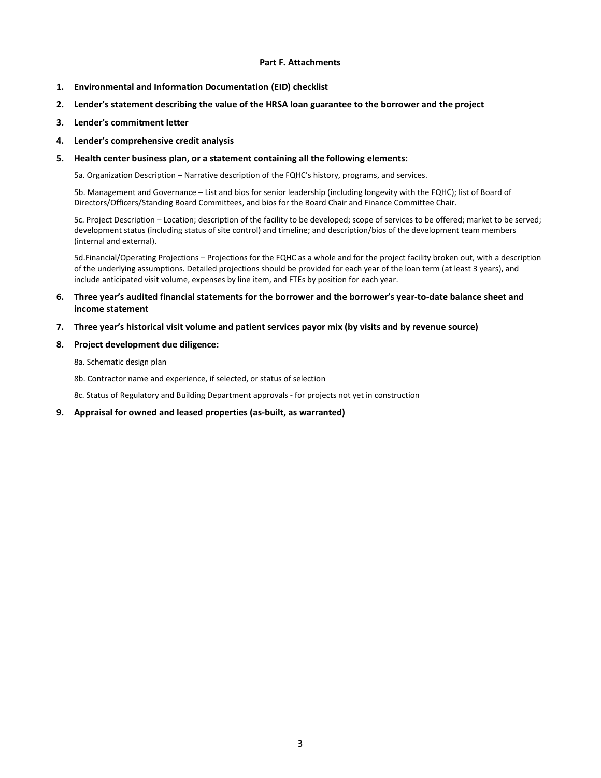### **Part F. Attachments**

- **1. Environmental and Information Documentation (EID) checklist**
- **2. Lender's statement describing the value of the HRSA loan guarantee to the borrower and the project**
- **3. Lender's commitment letter**
- **4. Lender's comprehensive credit analysis**
- **5. Health center business plan, or a statement containing all the following elements:**

5a. Organization Description – Narrative description of the FQHC's history, programs, and services.

5b. Management and Governance – List and bios for senior leadership (including longevity with the FQHC); list of Board of Directors/Officers/Standing Board Committees, and bios for the Board Chair and Finance Committee Chair.

5c. Project Description – Location; description of the facility to be developed; scope of services to be offered; market to be served; development status (including status of site control) and timeline; and description/bios of the development team members (internal and external).

5d.Financial/Operating Projections – Projections for the FQHC as a whole and for the project facility broken out, with a description of the underlying assumptions. Detailed projections should be provided for each year of the loan term (at least 3 years), and include anticipated visit volume, expenses by line item, and FTEs by position for each year.

### **6. Three year's audited financial statements for the borrower and the borrower's year‐to‐date balance sheet and income statement**

#### **7. Three year's historical visit volume and patient services payor mix (by visits and by revenue source)**

- **8. Project development due diligence:** 
	- 8a. Schematic design plan
	- 8b. Contractor name and experience, if selected, or status of selection

8c. Status of Regulatory and Building Department approvals ‐ for projects not yet in construction

**9. Appraisal for owned and leased properties (as‐built, as warranted)**